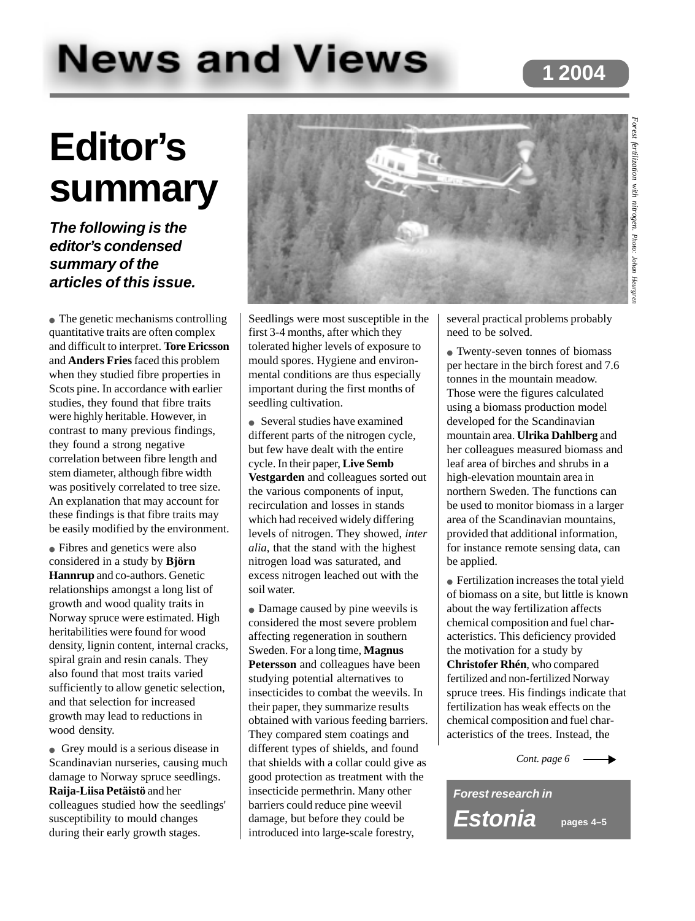# **News and Views**

# **1 2004**

# **Editor's summary**

**The following is the editor's condensed summary of the articles of this issue.**

• The genetic mechanisms controlling quantitative traits are often complex and difficult to interpret. **Tore Ericsson** and **Anders Fries** faced this problem when they studied fibre properties in Scots pine. In accordance with earlier studies, they found that fibre traits were highly heritable. However, in contrast to many previous findings, they found a strong negative correlation between fibre length and stem diameter, although fibre width was positively correlated to tree size. An explanation that may account for these findings is that fibre traits may be easily modified by the environment.

● Fibres and genetics were also considered in a study by **Björn Hannrup** and co-authors. Genetic relationships amongst a long list of growth and wood quality traits in Norway spruce were estimated. High heritabilities were found for wood density, lignin content, internal cracks, spiral grain and resin canals. They also found that most traits varied sufficiently to allow genetic selection, and that selection for increased growth may lead to reductions in wood density.

● Grey mould is a serious disease in Scandinavian nurseries, causing much damage to Norway spruce seedlings. **Raija-Liisa Petäistö** and her colleagues studied how the seedlings' susceptibility to mould changes during their early growth stages.



Seedlings were most susceptible in the first 3-4 months, after which they tolerated higher levels of exposure to mould spores. Hygiene and environmental conditions are thus especially important during the first months of seedling cultivation.

• Several studies have examined different parts of the nitrogen cycle, but few have dealt with the entire cycle. In their paper, **Live Semb Vestgarden** and colleagues sorted out the various components of input, recirculation and losses in stands which had received widely differing levels of nitrogen. They showed, *inter alia*, that the stand with the highest nitrogen load was saturated, and excess nitrogen leached out with the soil water.

• Damage caused by pine weevils is considered the most severe problem affecting regeneration in southern Sweden. For a long time, **Magnus Petersson** and colleagues have been studying potential alternatives to insecticides to combat the weevils. In their paper, they summarize results obtained with various feeding barriers. They compared stem coatings and different types of shields, and found that shields with a collar could give as good protection as treatment with the insecticide permethrin. Many other barriers could reduce pine weevil damage, but before they could be introduced into large-scale forestry,

several practical problems probably need to be solved.

• Twenty-seven tonnes of biomass per hectare in the birch forest and 7.6 tonnes in the mountain meadow. Those were the figures calculated using a biomass production model developed for the Scandinavian mountain area. **Ulrika Dahlberg** and her colleagues measured biomass and leaf area of birches and shrubs in a high-elevation mountain area in northern Sweden. The functions can be used to monitor biomass in a larger area of the Scandinavian mountains, provided that additional information, for instance remote sensing data, can be applied.

● Fertilization increases the total yield of biomass on a site, but little is known about the way fertilization affects chemical composition and fuel characteristics. This deficiency provided the motivation for a study by **Christofer Rhén**, who compared fertilized and non-fertilized Norway spruce trees. His findings indicate that fertilization has weak effects on the chemical composition and fuel characteristics of the trees. Instead, the



**Forest research in Estonia pages 4–5**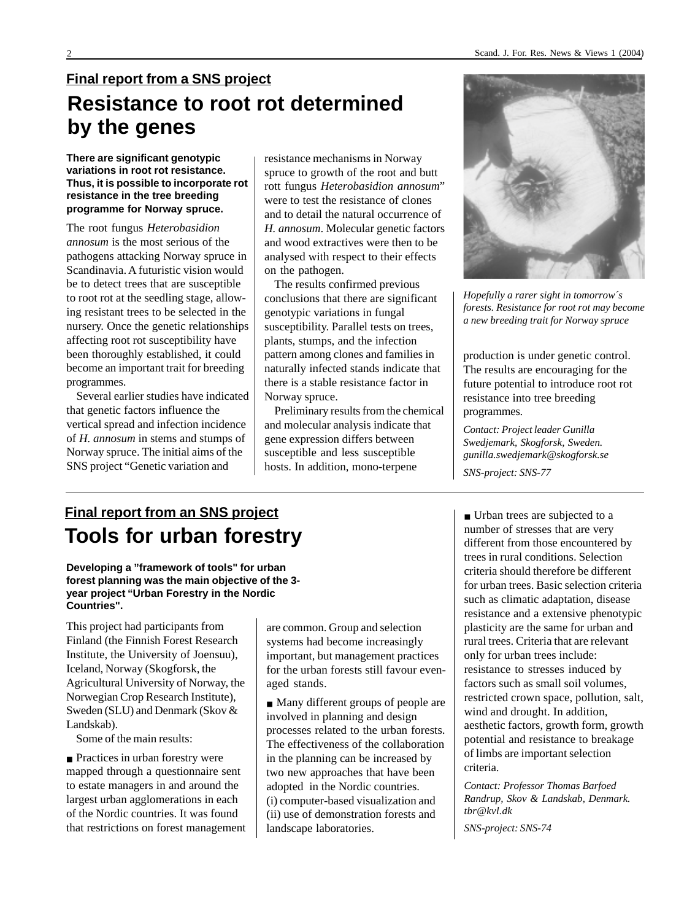# **Final report from a SNS project Resistance to root rot determined by the genes**

#### **There are significant genotypic variations in root rot resistance. Thus, it is possible to incorporate rot resistance in the tree breeding programme for Norway spruce.**

The root fungus *Heterobasidion annosum* is the most serious of the pathogens attacking Norway spruce in Scandinavia. A futuristic vision would be to detect trees that are susceptible to root rot at the seedling stage, allowing resistant trees to be selected in the nursery. Once the genetic relationships affecting root rot susceptibility have been thoroughly established, it could become an important trait for breeding programmes.

Several earlier studies have indicated that genetic factors influence the vertical spread and infection incidence of *H. annosum* in stems and stumps of Norway spruce. The initial aims of the SNS project "Genetic variation and

resistance mechanisms in Norway spruce to growth of the root and butt rott fungus *Heterobasidion annosum*" were to test the resistance of clones and to detail the natural occurrence of *H. annosum*. Molecular genetic factors and wood extractives were then to be analysed with respect to their effects on the pathogen.

The results confirmed previous conclusions that there are significant genotypic variations in fungal susceptibility. Parallel tests on trees, plants, stumps, and the infection pattern among clones and families in naturally infected stands indicate that there is a stable resistance factor in Norway spruce.

Preliminary results from the chemical and molecular analysis indicate that gene expression differs between susceptible and less susceptible hosts. In addition, mono-terpene



*Hopefully a rarer sight in tomorrow´s forests. Resistance for root rot may become a new breeding trait for Norway spruce*

production is under genetic control. The results are encouraging for the future potential to introduce root rot resistance into tree breeding programmes.

*Contact: Project leader Gunilla Swedjemark, Skogforsk, Sweden. gunilla.swedjemark@skogforsk.se SNS-project: SNS-77*

## **Final report from an SNS project Tools for urban forestry**

**Developing a "framework of tools" for urban forest planning was the main objective of the 3 year project "Urban Forestry in the Nordic Countries".**

This project had participants from Finland (the Finnish Forest Research Institute, the University of Joensuu), Iceland, Norway (Skogforsk, the Agricultural University of Norway, the Norwegian Crop Research Institute), Sweden (SLU) and Denmark (Skov & Landskab).

Some of the main results:

■ Practices in urban forestry were mapped through a questionnaire sent to estate managers in and around the largest urban agglomerations in each of the Nordic countries. It was found that restrictions on forest management are common. Group and selection systems had become increasingly important, but management practices for the urban forests still favour evenaged stands.

■ Many different groups of people are involved in planning and design processes related to the urban forests. The effectiveness of the collaboration in the planning can be increased by two new approaches that have been adopted in the Nordic countries. (i) computer-based visualization and (ii) use of demonstration forests and landscape laboratories.

■ Urban trees are subjected to a number of stresses that are very different from those encountered by trees in rural conditions. Selection criteria should therefore be different for urban trees. Basic selection criteria such as climatic adaptation, disease resistance and a extensive phenotypic plasticity are the same for urban and rural trees. Criteria that are relevant only for urban trees include: resistance to stresses induced by factors such as small soil volumes, restricted crown space, pollution, salt, wind and drought. In addition, aesthetic factors, growth form, growth potential and resistance to breakage of limbs are important selection criteria.

*Contact: Professor Thomas Barfoed Randrup, Skov & Landskab, Denmark. tbr@kvl.dk*

*SNS-project: SNS-74*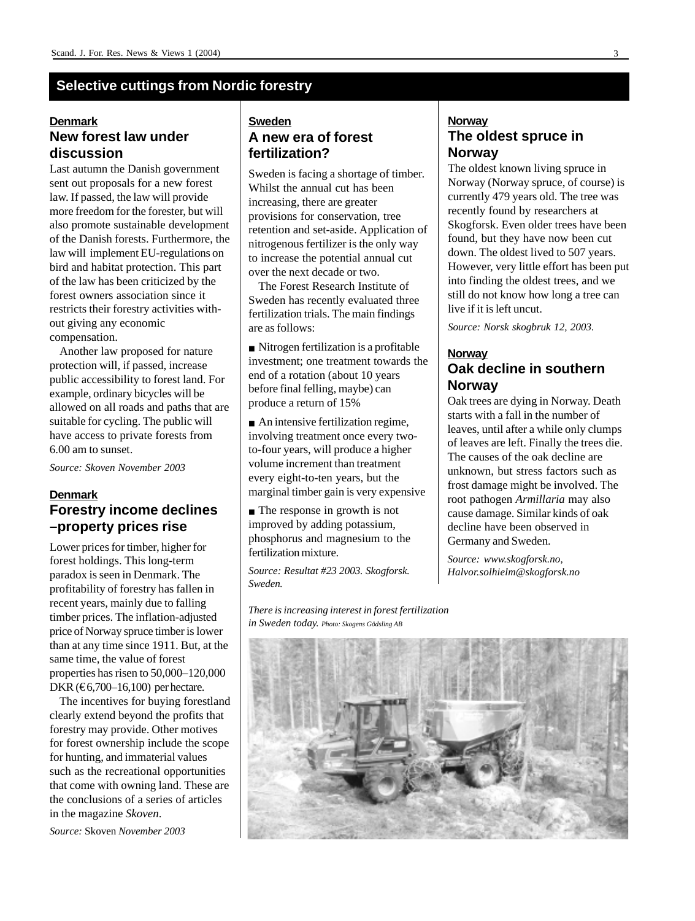#### **Selective cuttings from Nordic forestry**

#### **Denmark New forest law under discussion**

Last autumn the Danish government sent out proposals for a new forest law. If passed, the law will provide more freedom for the forester, but will also promote sustainable development of the Danish forests. Furthermore, the law will implement EU-regulations on bird and habitat protection. This part of the law has been criticized by the forest owners association since it restricts their forestry activities without giving any economic compensation.

Another law proposed for nature protection will, if passed, increase public accessibility to forest land. For example, ordinary bicycles will be allowed on all roads and paths that are suitable for cycling. The public will have access to private forests from 6.00 am to sunset.

*Source: Skoven November 2003*

#### **Denmark Forestry income declines –property prices rise**

Lower prices for timber, higher for forest holdings. This long-term paradox is seen in Denmark. The profitability of forestry has fallen in recent years, mainly due to falling timber prices. The inflation-adjusted price of Norway spruce timber is lower than at any time since 1911. But, at the same time, the value of forest properties has risen to 50,000–120,000 DKR (€ 6,700–16,100) per hectare.

The incentives for buying forestland clearly extend beyond the profits that forestry may provide. Other motives for forest ownership include the scope for hunting, and immaterial values such as the recreational opportunities that come with owning land. These are the conclusions of a series of articles in the magazine *Skoven*.

*Source:* Skoven *November 2003*

#### **Sweden A new era of forest fertilization?**

Sweden is facing a shortage of timber. Whilst the annual cut has been increasing, there are greater provisions for conservation, tree retention and set-aside. Application of nitrogenous fertilizer is the only way to increase the potential annual cut over the next decade or two.

The Forest Research Institute of Sweden has recently evaluated three fertilization trials. The main findings are as follows:

■ Nitrogen fertilization is a profitable investment; one treatment towards the end of a rotation (about 10 years before final felling, maybe) can produce a return of 15%

■ An intensive fertilization regime, involving treatment once every twoto-four years, will produce a higher volume increment than treatment every eight-to-ten years, but the marginal timber gain is very expensive

■ The response in growth is not improved by adding potassium, phosphorus and magnesium to the fertilization mixture.

*Source: Resultat #23 2003. Skogforsk. Sweden.*

*There is increasing interest in forest fertilization in Sweden today. Photo: Skogens Gödsling AB*

#### **Norway The oldest spruce in Norway**

The oldest known living spruce in Norway (Norway spruce, of course) is currently 479 years old. The tree was recently found by researchers at Skogforsk. Even older trees have been found, but they have now been cut down. The oldest lived to 507 years. However, very little effort has been put into finding the oldest trees, and we still do not know how long a tree can live if it is left uncut.

*Source: Norsk skogbruk 12, 2003.*

#### **Norway Oak decline in southern Norway**

Oak trees are dying in Norway. Death starts with a fall in the number of leaves, until after a while only clumps of leaves are left. Finally the trees die. The causes of the oak decline are unknown, but stress factors such as frost damage might be involved. The root pathogen *Armillaria* may also cause damage. Similar kinds of oak decline have been observed in Germany and Sweden.

*Source: www.skogforsk.no, Halvor.solhielm@skogforsk.no*

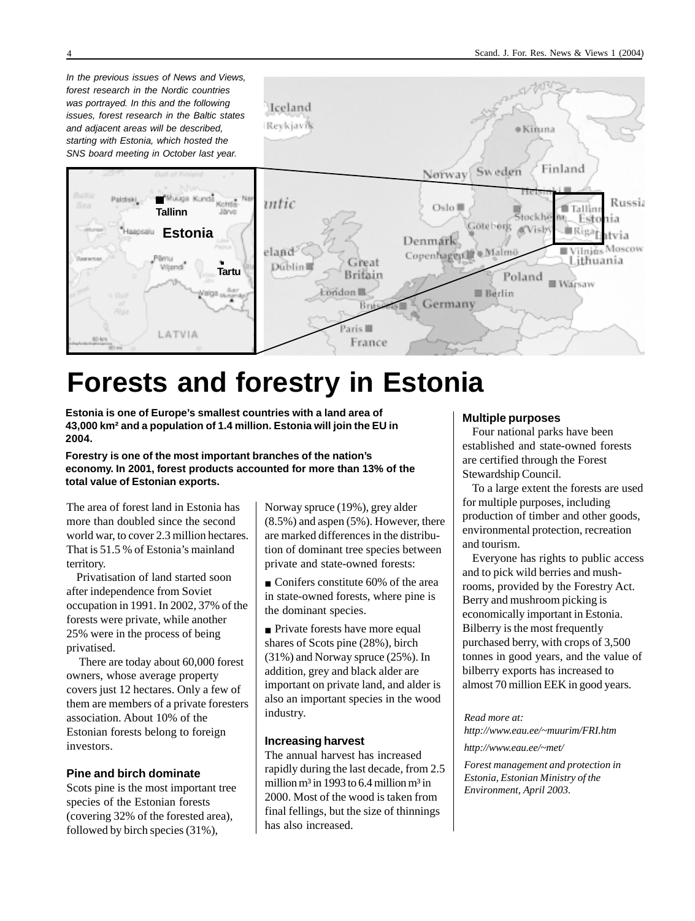

# **Forests and forestry in Estonia**

**Estonia is one of Europe's smallest countries with a land area of 43,000 km² and a population of 1.4 million. Estonia will join the EU in 2004.**

**Forestry is one of the most important branches of the nation's economy. In 2001, forest products accounted for more than 13% of the total value of Estonian exports.**

The area of forest land in Estonia has more than doubled since the second world war, to cover 2.3 million hectares. That is 51.5 % of Estonia's mainland territory.

Privatisation of land started soon after independence from Soviet occupation in 1991. In 2002, 37% of the forests were private, while another 25% were in the process of being privatised.

 There are today about 60,000 forest owners, whose average property covers just 12 hectares. Only a few of them are members of a private foresters association. About 10% of the Estonian forests belong to foreign investors.

#### **Pine and birch dominate**

Scots pine is the most important tree species of the Estonian forests (covering 32% of the forested area), followed by birch species (31%),

Norway spruce (19%), grey alder  $(8.5\%)$  and aspen  $(5\%)$ . However, there are marked differences in the distribution of dominant tree species between private and state-owned forests:

■ Conifers constitute 60% of the area in state-owned forests, where pine is the dominant species.

■ Private forests have more equal shares of Scots pine (28%), birch (31%) and Norway spruce (25%). In addition, grey and black alder are important on private land, and alder is also an important species in the wood industry.

#### **Increasing harvest**

The annual harvest has increased rapidly during the last decade, from 2.5 million  $m^3$  in 1993 to 6.4 million  $m^3$  in 2000. Most of the wood is taken from final fellings, but the size of thinnings has also increased.

#### **Multiple purposes**

Four national parks have been established and state-owned forests are certified through the Forest Stewardship Council.

To a large extent the forests are used for multiple purposes, including production of timber and other goods, environmental protection, recreation and tourism.

Everyone has rights to public access and to pick wild berries and mushrooms, provided by the Forestry Act. Berry and mushroom picking is economically important in Estonia. Bilberry is the most frequently purchased berry, with crops of 3,500 tonnes in good years, and the value of bilberry exports has increased to almost 70 million EEK in good years.

#### *Read more at:*

*http://www.eau.ee/~muurim/FRI.htm http://www.eau.ee/~met/*

*Forest management and protection in Estonia, Estonian Ministry of the Environment, April 2003.*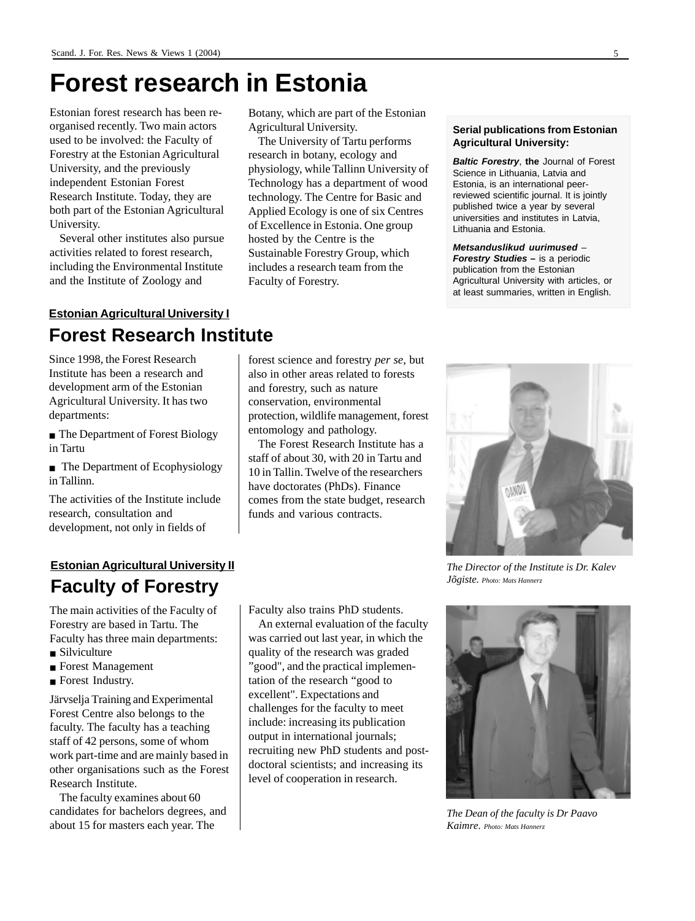# **Forest research in Estonia**

Estonian forest research has been reorganised recently. Two main actors used to be involved: the Faculty of Forestry at the Estonian Agricultural University, and the previously independent Estonian Forest Research Institute. Today, they are both part of the Estonian Agricultural University.

Several other institutes also pursue activities related to forest research, including the Environmental Institute and the Institute of Zoology and

Botany, which are part of the Estonian Agricultural University.

The University of Tartu performs research in botany, ecology and physiology, while Tallinn University of Technology has a department of wood technology. The Centre for Basic and Applied Ecology is one of six Centres of Excellence in Estonia. One group hosted by the Centre is the Sustainable Forestry Group, which includes a research team from the Faculty of Forestry.

#### **Serial publications from Estonian Agricultural University:**

**Baltic Forestry**, **the** Journal of Forest Science in Lithuania, Latvia and Estonia, is an international peerreviewed scientific journal. It is jointly published twice a year by several universities and institutes in Latvia, Lithuania and Estonia.

**Metsanduslikud uurimused** – **Forestry Studies –** is a periodic publication from the Estonian Agricultural University with articles, or at least summaries, written in English.

### **Estonian Agricultural University I Forest Research Institute**

Since 1998, the Forest Research Institute has been a research and development arm of the Estonian Agricultural University. It has two departments:

■ The Department of Forest Biology in Tartu

■ The Department of Ecophysiology in Tallinn.

The activities of the Institute include research, consultation and development, not only in fields of

### **Estonian Agricultural University II Faculty of Forestry**

The main activities of the Faculty of Forestry are based in Tartu. The Faculty has three main departments:

- Silviculture
- Forest Management
- Forest Industry.

Järvselja Training and Experimental Forest Centre also belongs to the faculty. The faculty has a teaching staff of 42 persons, some of whom work part-time and are mainly based in other organisations such as the Forest Research Institute.

The faculty examines about 60 candidates for bachelors degrees, and about 15 for masters each year. The

forest science and forestry *per se*, but also in other areas related to forests and forestry, such as nature conservation, environmental protection, wildlife management, forest entomology and pathology.

The Forest Research Institute has a staff of about 30, with 20 in Tartu and 10 in Tallin. Twelve of the researchers have doctorates (PhDs). Finance comes from the state budget, research funds and various contracts.

Faculty also trains PhD students. An external evaluation of the faculty was carried out last year, in which the quality of the research was graded "good", and the practical implementation of the research "good to excellent". Expectations and challenges for the faculty to meet include: increasing its publication output in international journals; recruiting new PhD students and postdoctoral scientists; and increasing its level of cooperation in research.



*The Director of the Institute is Dr. Kalev Jõgiste. Photo: Mats Hannerz*



*The Dean of the faculty is Dr Paavo Kaimre. Photo: Mats Hannerz*